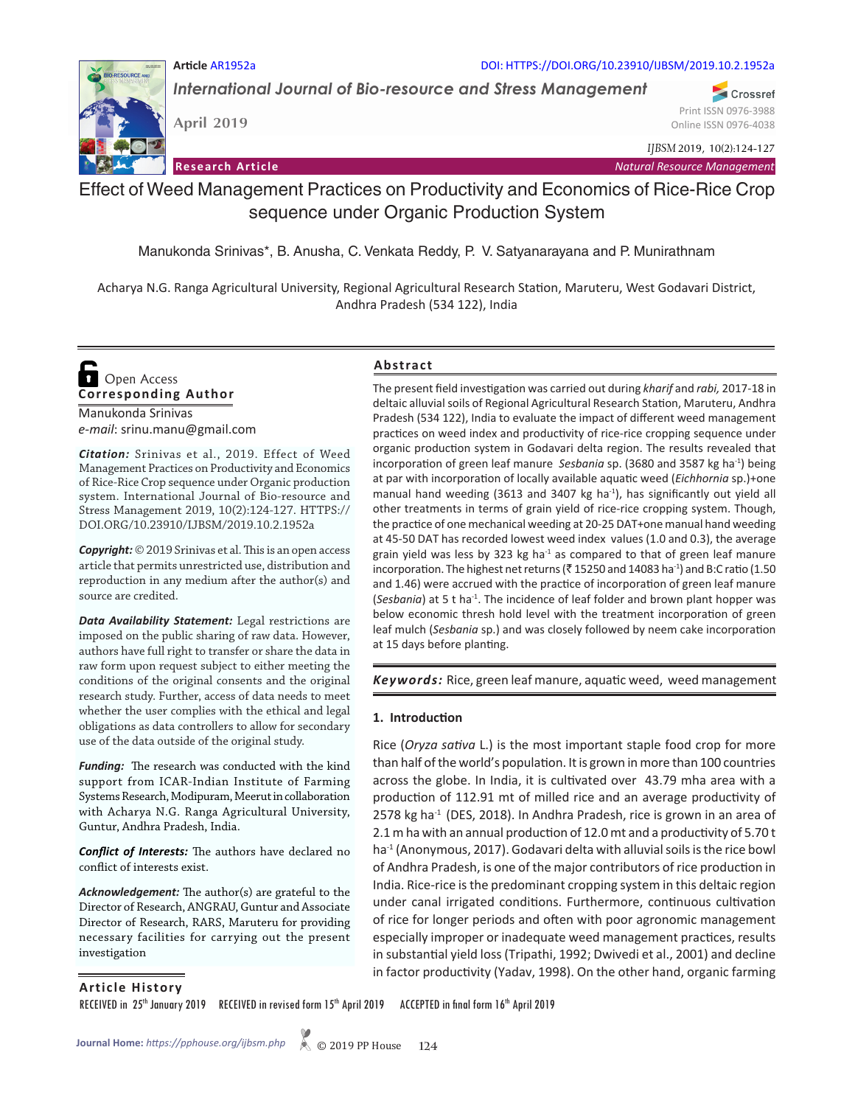#### **Article** AR1952a DOI: HTTPS://DOI.ORG/10.23910/IJBSM/2019.10.2.1952a

*International Journal of Bio-resource and Stress Management*

**April 2019**

*IJBSM* 2019, 10(2):124-127

**Research Article** *Natural Resource Management Natural Resource Management* 

# Effect of Weed Management Practices on Productivity and Economics of Rice-Rice Crop sequence under Organic Production System

Manukonda Srinivas\*, B. Anusha, C. Venkata Reddy, P. V. Satyanarayana and P. Munirathnam

Acharya N.G. Ranga Agricultural University, Regional Agricultural Research Station, Maruteru, West Godavari District, Andhra Pradesh (534 122), India

# **Corresponding Author**  Open Access

Manukonda Srinivas *e-mail*: srinu.manu@gmail.com

*Citation:* Srinivas et al., 2019. Effect of Weed Management Practices on Productivity and Economics of Rice-Rice Crop sequence under Organic production system. International Journal of Bio-resource and Stress Management 2019, 10(2):124-127. HTTPS:// DOI.ORG/10.23910/IJBSM/2019.10.2.1952a

*Copyright:* © 2019 Srinivas et al. This is an open access article that permits unrestricted use, distribution and reproduction in any medium after the author(s) and source are credited.

*Data Availability Statement:* Legal restrictions are imposed on the public sharing of raw data. However, authors have full right to transfer or share the data in raw form upon request subject to either meeting the conditions of the original consents and the original research study. Further, access of data needs to meet whether the user complies with the ethical and legal obligations as data controllers to allow for secondary use of the data outside of the original study.

*Funding:* The research was conducted with the kind support from ICAR-Indian Institute of Farming Systems Research, Modipuram, Meerut in collaboration with Acharya N.G. Ranga Agricultural University, Guntur, Andhra Pradesh, India.

*Conflict of Interests:* The authors have declared no conflict of interests exist.

*Acknowledgement:* The author(s) are grateful to the Director of Research, ANGRAU, Guntur and Associate Director of Research, RARS, Maruteru for providing necessary facilities for carrying out the present investigation

# **Abstract**

The present field investigation was carried out during *kharif* and *rabi,* 2017-18 in deltaic alluvial soils of Regional Agricultural Research Station, Maruteru, Andhra Pradesh (534 122), India to evaluate the impact of different weed management practices on weed index and productivity of rice-rice cropping sequence under organic production system in Godavari delta region. The results revealed that incorporation of green leaf manure *Sesbania* sp. (3680 and 3587 kg ha-1) being at par with incorporation of locally available aquatic weed (*Eichhornia* sp.)+one manual hand weeding (3613 and 3407 kg ha $^{-1}$ ), has significantly out yield all other treatments in terms of grain yield of rice-rice cropping system. Though, the practice of one mechanical weeding at 20-25 DAT+one manual hand weeding at 45-50 DAT has recorded lowest weed index values (1.0 and 0.3), the average grain yield was less by 323 kg ha $^{-1}$  as compared to that of green leaf manure incorporation. The highest net returns ( $\bar{\tau}$  15250 and 14083 ha<sup>-1</sup>) and B:C ratio (1.50 and 1.46) were accrued with the practice of incorporation of green leaf manure (*Sesbania*) at 5 t ha<sup>-1</sup>. The incidence of leaf folder and brown plant hopper was below economic thresh hold level with the treatment incorporation of green leaf mulch (*Sesbania* sp.) and was closely followed by neem cake incorporation at 15 days before planting.

*Keywords:* Rice, green leaf manure, aquatic weed, weed management

#### **1. Introduction**

Rice (*Oryza sativa* L.) is the most important staple food crop for more than half of the world's population. It is grown in more than 100 countries across the globe. In India, it is cultivated over 43.79 mha area with a production of 112.91 mt of milled rice and an average productivity of 2578 kg ha $^{-1}$  (DES, 2018). In Andhra Pradesh, rice is grown in an area of 2.1 m ha with an annual production of 12.0 mt and a productivity of 5.70 t ha<sup>-1</sup> (Anonymous, 2017). Godavari delta with alluvial soils is the rice bowl of Andhra Pradesh, is one of the major contributors of rice production in India. Rice-rice is the predominant cropping system in this deltaic region under canal irrigated conditions. Furthermore, continuous cultivation of rice for longer periods and often with poor agronomic management especially improper or inadequate weed management practices, results in substantial yield loss (Tripathi, 1992; Dwivedi et al., 2001) and decline in factor productivity (Yadav, 1998). On the other hand, organic farming

#### **Article History**

RECEIVED in 25<sup>th</sup> January 2019 RECEIVED in revised form 15<sup>th</sup> April 2019 ACCEPTED in final form 16<sup>th</sup> April 2019



Crossref Print ISSN 0976-3988 Online ISSN 0976-4038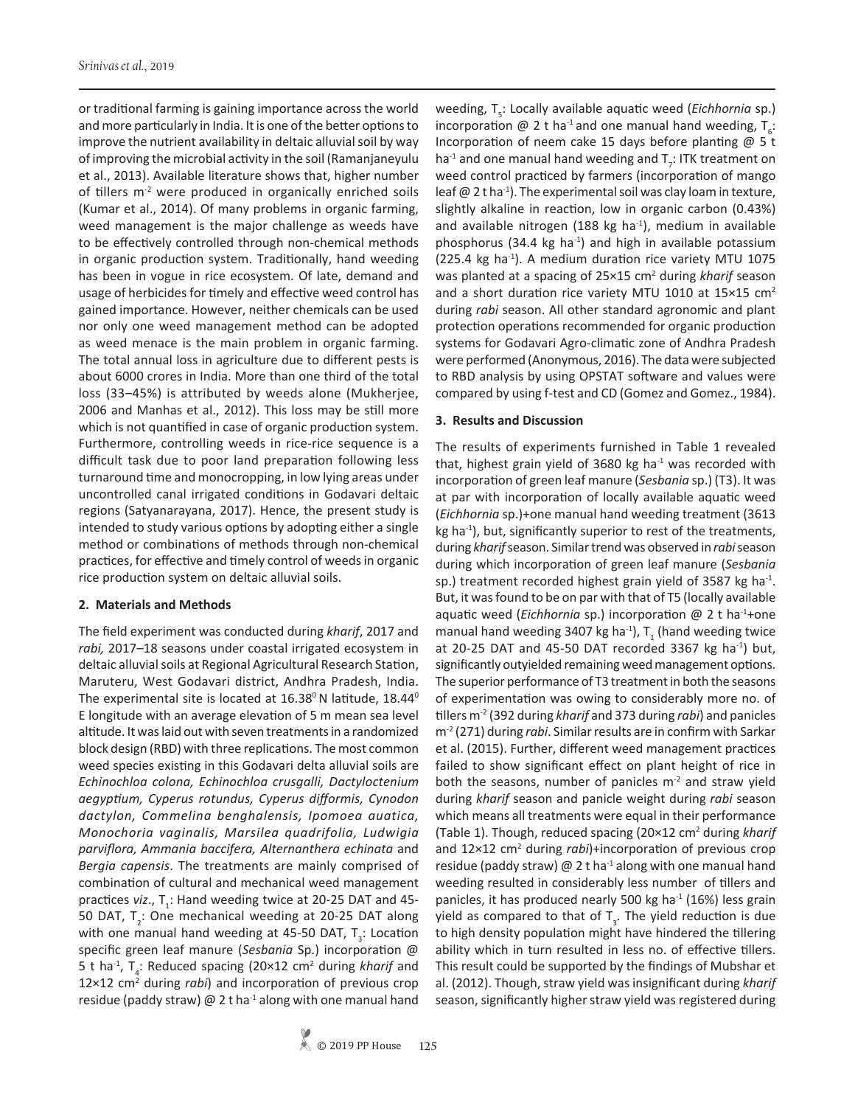or traditional farming is gaining importance across the world and more particularly in India. It is one of the better options to improve the nutrient availability in deltaic alluvial soil by way of improving the microbial activity in the soil (Ramanjaneyulu et al., 2013). Available literature shows that, higher number of tillers m<sup>-2</sup> were produced in organically enriched soils (Kumar et al., 2014). Of many problems in organic farming, weed management is the major challenge as weeds have to be effectively controlled through non-chemical methods in organic production system. Traditionally, hand weeding has been in vogue in rice ecosystem. Of late, demand and usage of herbicides for timely and effective weed control has gained importance. However, neither chemicals can be used nor only one weed management method can be adopted as weed menace is the main problem in organic farming. The total annual loss in agriculture due to different pests is about 6000 crores in India. More than one third of the total loss (33–45%) is attributed by weeds alone (Mukherjee, 2006 and Manhas et al., 2012). This loss may be still more which is not quantified in case of organic production system. Furthermore, controlling weeds in rice-rice sequence is a difficult task due to poor land preparation following less turnaround time and monocropping, in low lying areas under uncontrolled canal irrigated conditions in Godavari deltaic regions (Satyanarayana, 2017). Hence, the present study is intended to study various options by adopting either a single method or combinations of methods through non-chemical practices, for effective and timely control of weeds in organic rice production system on deltaic alluvial soils.

#### **2. Materials and Methods**

The field experiment was conducted during *kharif*, 2017 and *rabi,* 2017–18 seasons under coastal irrigated ecosystem in deltaic alluvial soils at Regional Agricultural Research Station, Maruteru, West Godavari district, Andhra Pradesh, India. The experimental site is located at  $16.38^{\circ}$  N latitude,  $18.44^{\circ}$ E longitude with an average elevation of 5 m mean sea level altitude. It was laid out with seven treatments in a randomized block design (RBD) with three replications. The most common weed species existing in this Godavari delta alluvial soils are *Echinochloa colona, Echinochloa crusgalli, Dactyloctenium aegyptium, Cyperus rotundus, Cyperus difformis, Cynodon dactylon, Commelina benghalensis, Ipomoea auatica, Monochoria vaginalis, Marsilea quadrifolia, Ludwigia parviflora, Ammania baccifera, Alternanthera echinata* and *Bergia capensis*. The treatments are mainly comprised of combination of cultural and mechanical weed management practices *viz.*, T<sub>1</sub>: Hand weeding twice at 20-25 DAT and 45-50 DAT,  $T_2$ : One mechanical weeding at 20-25 DAT along with one manual hand weeding at 45-50 DAT,  $T_{3}$ : Location specific green leaf manure (*Sesbania* Sp.) incorporation @ 5 t ha<sup>-1</sup>, T<sub>4</sub>: Reduced spacing (20×12 cm<sup>2</sup> during *kharif* and 12×12 cm2 during *rabi*) and incorporation of previous crop residue (paddy straw)  $\omega$  2 t ha<sup>-1</sup> along with one manual hand

weeding, T<sub>5</sub>: Locally available aquatic weed (*Eichhornia* sp.) incorporation @ 2 t ha<sup>-1</sup> and one manual hand weeding,  $T_{6}$ : Incorporation of neem cake 15 days before planting @ 5 t ha<sup>-1</sup> and one manual hand weeding and  $T$ <sub>7</sub>: ITK treatment on weed control practiced by farmers (incorporation of mango leaf  $@$  2 t ha<sup>-1</sup>). The experimental soil was clay loam in texture, slightly alkaline in reaction, low in organic carbon (0.43%) and available nitrogen (188 kg ha $^{-1}$ ), medium in available phosphorus (34.4 kg ha<sup>-1</sup>) and high in available potassium (225.4 kg ha $^{-1}$ ). A medium duration rice variety MTU 1075 was planted at a spacing of 25×15 cm<sup>2</sup> during *kharif* season and a short duration rice variety MTU 1010 at 15×15 cm<sup>2</sup> during *rabi* season. All other standard agronomic and plant protection operations recommended for organic production systems for Godavari Agro-climatic zone of Andhra Pradesh were performed (Anonymous, 2016). The data were subjected to RBD analysis by using OPSTAT software and values were compared by using f-test and CD (Gomez and Gomez., 1984).

# **3. Results and Discussion**

The results of experiments furnished in Table 1 revealed that, highest grain yield of 3680 kg ha $^{-1}$  was recorded with incorporation of green leaf manure (*Sesbania* sp.) (T3). It was at par with incorporation of locally available aquatic weed (*Eichhornia* sp.)+one manual hand weeding treatment (3613  $kg$  ha $^{-1}$ ), but, significantly superior to rest of the treatments, during *kharif* season. Similar trend was observed in *rabi* season during which incorporation of green leaf manure (*Sesbania* sp.) treatment recorded highest grain yield of 3587 kg ha $^{-1}$ . But, it was found to be on par with that of T5 (locally available aquatic weed (*Eichhornia* sp.) incorporation @ 2 t ha-1+one manual hand weeding 3407 kg ha<sup>-1</sup>),  $T_{1}$  (hand weeding twice at 20-25 DAT and 45-50 DAT recorded 3367 kg ha<sup>-1</sup>) but, significantly outyielded remaining weed management options. The superior performance of T3 treatment in both the seasons of experimentation was owing to considerably more no. of tillers m-2 (392 during *kharif* and 373 during *rabi*) and panicles m-2 (271) during *rabi*. Similar results are in confirm with Sarkar et al. (2015). Further, different weed management practices failed to show significant effect on plant height of rice in both the seasons, number of panicles  $m<sup>2</sup>$  and straw yield during *kharif* season and panicle weight during *rabi* season which means all treatments were equal in their performance (Table 1). Though, reduced spacing (20×12 cm2 during *kharif* and 12×12 cm<sup>2</sup> during *rabi*)+incorporation of previous crop residue (paddy straw)  $\omega$  2 t ha<sup>-1</sup> along with one manual hand weeding resulted in considerably less number of tillers and panicles, it has produced nearly 500 kg ha $^{-1}$  (16%) less grain yield as compared to that of  ${\tt T}_{\tt 3}$ . The yield reduction is due to high density population might have hindered the tillering ability which in turn resulted in less no. of effective tillers. This result could be supported by the findings of Mubshar et al. (2012). Though, straw yield was insignificant during *kharif* season, significantly higher straw yield was registered during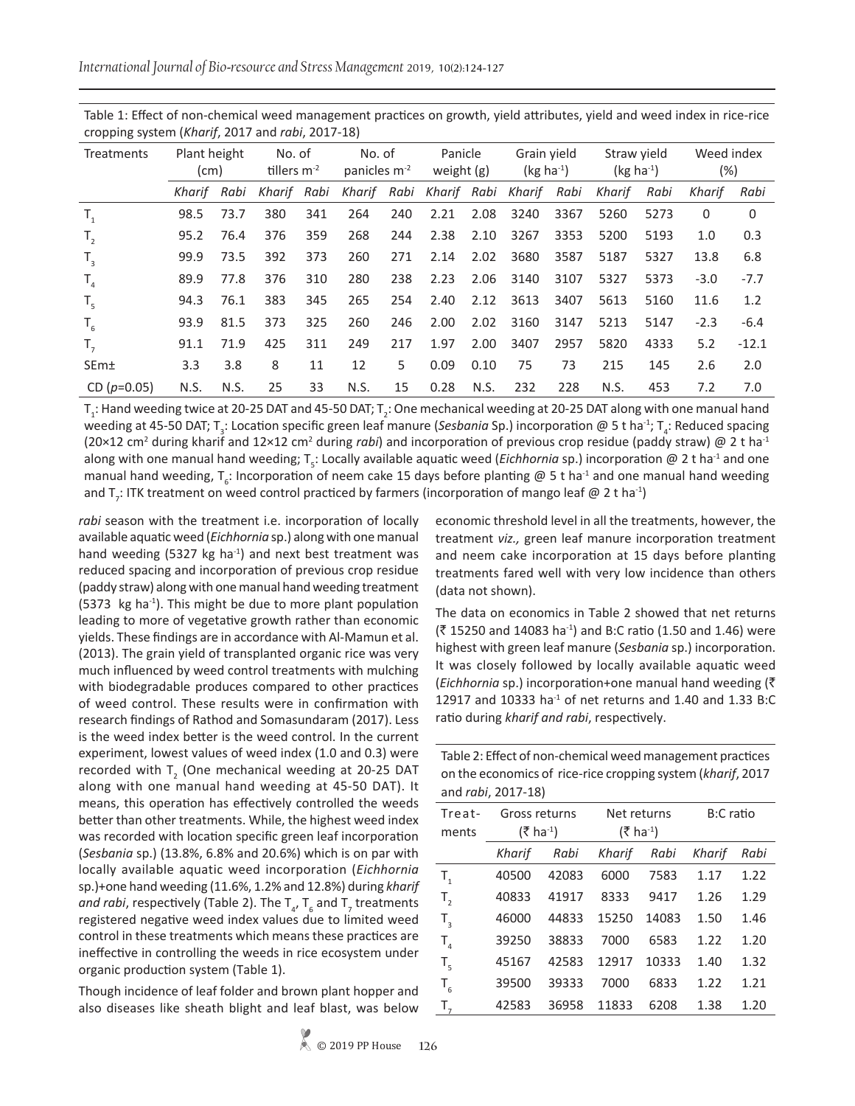*International Journal of Bio-resource and Stress Management* 2019, 10(2):124-127

| $= 20$ and $= 100$ and $= 100$ and $= 100$ and $= 100$ |                      |      |                            |     |                                    |      |                       |      |                            |      |                            |      |                      |          |
|--------------------------------------------------------|----------------------|------|----------------------------|-----|------------------------------------|------|-----------------------|------|----------------------------|------|----------------------------|------|----------------------|----------|
| Treatments                                             | Plant height<br>(cm) |      | No. of<br>tillers $m^{-2}$ |     | No. of<br>panicles m <sup>-2</sup> |      | Panicle<br>weight (g) |      | Grain yield<br>$(kg ha-1)$ |      | Straw yield<br>$(kg ha-1)$ |      | Weed index<br>$(\%)$ |          |
|                                                        | Kharif               | Rabi | Kharif Rabi                |     | Kharif                             | Rabi |                       |      | Kharif Rabi Kharif         | Rabi | Kharif                     | Rabi | Kharif               | Rabi     |
| $T_{1}$                                                | 98.5                 | 73.7 | 380                        | 341 | 264                                | 240  | 2.21                  | 2.08 | 3240                       | 3367 | 5260                       | 5273 | 0                    | $\Omega$ |
| $T_{2}$                                                | 95.2                 | 76.4 | 376                        | 359 | 268                                | 244  | 2.38                  | 2.10 | 3267                       | 3353 | 5200                       | 5193 | 1.0                  | 0.3      |
| $T_{3}$                                                | 99.9                 | 73.5 | 392                        | 373 | 260                                | 271  | 2.14                  | 2.02 | 3680                       | 3587 | 5187                       | 5327 | 13.8                 | 6.8      |
| $T_{4}$                                                | 89.9                 | 77.8 | 376                        | 310 | 280                                | 238  | 2.23                  | 2.06 | 3140                       | 3107 | 5327                       | 5373 | $-3.0$               | $-7.7$   |
| $T_{5}$                                                | 94.3                 | 76.1 | 383                        | 345 | 265                                | 254  | 2.40                  | 2.12 | 3613                       | 3407 | 5613                       | 5160 | 11.6                 | 1.2      |
| $T_{6}$                                                | 93.9                 | 81.5 | 373                        | 325 | 260                                | 246  | 2.00                  | 2.02 | 3160                       | 3147 | 5213                       | 5147 | $-2.3$               | $-6.4$   |
| $T_{7}$                                                | 91.1                 | 71.9 | 425                        | 311 | 249                                | 217  | 1.97                  | 2.00 | 3407                       | 2957 | 5820                       | 4333 | 5.2                  | $-12.1$  |
| <b>SEm</b> <sup>+</sup>                                | 3.3                  | 3.8  | 8                          | 11  | 12                                 | 5    | 0.09                  | 0.10 | 75                         | 73   | 215                        | 145  | 2.6                  | 2.0      |
| CD $(p=0.05)$                                          | N.S.                 | N.S. | 25                         | 33  | N.S.                               | 15   | 0.28                  | N.S. | 232                        | 228  | N.S.                       | 453  | 7.2                  | 7.0      |

Table 1: Effect of non-chemical weed management practices on growth, yield attributes, yield and weed index in rice-rice cropping system (*Kharif*, 2017 and *rabi*, 2017-18)

 $T_i$ : Hand weeding twice at 20-25 DAT and 45-50 DAT;  $T_2$ : One mechanical weeding at 20-25 DAT along with one manual hand weeding at 45-50 DAT; T<sub>3</sub>: Location specific green leaf manure (Sesbania Sp.) incorporation @ 5 t ha<sup>-1</sup>; T<sub>4</sub>: Reduced spacing (20×12 cm<sup>2</sup> during kharif and 12×12 cm<sup>2</sup> during *rabi*) and incorporation of previous crop residue (paddy straw) @ 2 t ha<sup>-1</sup> along with one manual hand weeding; T<sub>5</sub>: Locally available aquatic weed (*Eichhornia* sp.) incorporation @ 2 t ha<sup>-1</sup> and one manual hand weeding, T<sub>6</sub>: Incorporation of neem cake 15 days before planting @ 5 t ha<sup>-1</sup> and one manual hand weeding and T<sub>7</sub>: ITK treatment on weed control practiced by farmers (incorporation of mango leaf @ 2 t ha<sup>-1</sup>)

*rabi* season with the treatment i.e. incorporation of locally available aquatic weed (*Eichhornia* sp.) along with one manual hand weeding (5327 kg ha<sup>-1</sup>) and next best treatment was reduced spacing and incorporation of previous crop residue (paddy straw) along with one manual hand weeding treatment (5373 kg ha<sup>-1</sup>). This might be due to more plant population leading to more of vegetative growth rather than economic yields. These findings are in accordance with Al-Mamun et al. (2013). The grain yield of transplanted organic rice was very much influenced by weed control treatments with mulching with biodegradable produces compared to other practices of weed control. These results were in confirmation with research findings of Rathod and Somasundaram (2017). Less is the weed index better is the weed control. In the current experiment, lowest values of weed index (1.0 and 0.3) were recorded with  $T_{2}$  (One mechanical weeding at 20-25 DAT along with one manual hand weeding at 45-50 DAT). It means, this operation has effectively controlled the weeds better than other treatments. While, the highest weed index was recorded with location specific green leaf incorporation (*Sesbania* sp.) (13.8%, 6.8% and 20.6%) which is on par with locally available aquatic weed incorporation (*Eichhornia*  sp.)+one hand weeding (11.6%, 1.2% and 12.8%) during *kharif*  and rabi, respectively (Table 2). The  $T_{4}$ ,  $T_{6}$  and  $T_{7}$  treatments registered negative weed index values due to limited weed control in these treatments which means these practices are ineffective in controlling the weeds in rice ecosystem under organic production system (Table 1).

Though incidence of leaf folder and brown plant hopper and also diseases like sheath blight and leaf blast, was below economic threshold level in all the treatments, however, the treatment *viz.,* green leaf manure incorporation treatment and neem cake incorporation at 15 days before planting treatments fared well with very low incidence than others (data not shown).

The data on economics in Table 2 showed that net returns  $($ ₹15250 and 14083 ha<sup>-1</sup>) and B:C ratio (1.50 and 1.46) were highest with green leaf manure (*Sesbania* sp.) incorporation. It was closely followed by locally available aquatic weed (*Eichhornia* sp.) incorporation+one manual hand weeding (` 12917 and 10333 ha $^{-1}$  of net returns and 1.40 and 1.33 B:C ratio during *kharif and rabi*, respectively.

| Table 2: Effect of non-chemical weed management practices   |
|-------------------------------------------------------------|
| on the economics of rice-rice cropping system (kharif, 2017 |
| and <i>rabi</i> , 2017-18)                                  |

| Treat-<br>ments | Gross returns<br>$(3 \hbox{ ha}^{-1})$ |       |        | Net returns<br>(₹ ha <sup>-1</sup> ) | B:C ratio |      |  |
|-----------------|----------------------------------------|-------|--------|--------------------------------------|-----------|------|--|
|                 | Kharif                                 | Rabi  | Kharif | Rabi                                 | Kharif    | Rabi |  |
| $T_{1}$         | 40500                                  | 42083 | 6000   | 7583                                 | 1.17      | 1.22 |  |
| $T_{2}$         | 40833                                  | 41917 | 8333   | 9417                                 | 1.26      | 1.29 |  |
| $T_{3}$         | 46000                                  | 44833 | 15250  | 14083                                | 1.50      | 1.46 |  |
| $T_{4}$         | 39250                                  | 38833 | 7000   | 6583                                 | 1.22      | 1.20 |  |
| $T_{\rm s}$     | 45167                                  | 42583 | 12917  | 10333                                | 1.40      | 1.32 |  |
| $T_{6}$         | 39500                                  | 39333 | 7000   | 6833                                 | 1.22      | 1.21 |  |
| $T_{7}$         | 42583                                  | 36958 | 11833  | 6208                                 | 1.38      | 1.20 |  |